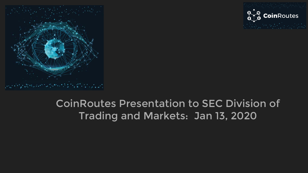



# CoinRoutes Presentation to SEC Division of Trading and Markets: Jan 13, 2020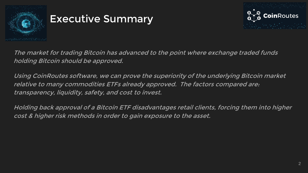

#### Executive Summary



The market for trading Bitcoin has advanced to the point where exchange traded funds holding Bitcoin should be approved.

Using CoinRoutes software, we can prove the superiority of the underlying Bitcoin market relative to many commodities ETFs already approved. The factors compared are: transparency, liquidity, safety, and cost to invest.

Holding back approval of a Bitcoin ETF disadvantages retail clients, forcing them into higher cost & higher risk methods in order to gain exposure to the asset.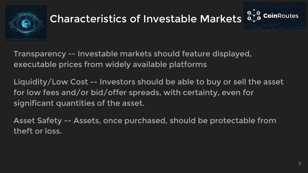

# Characteristics of Investable Markets at



Transparency -- Investable markets should feature displayed, executable prices from widely available platforms

Liquidity/Low Cost -- Investors should be able to buy or sell the asset for low fees and/or bid/offer spreads, with certainty, even for significant quantities of the asset.

Asset Safety -- Assets, once purchased, should be protectable from theft or loss.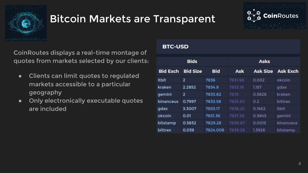

#### Bitcoin Markets are Transparent



CoinRoutes displays a real-time montage of quotes from markets selected by our clients:

- Clients can limit quotes to regulated markets accessible to a particular geography
- Only electronically executable quotes are included

#### **BTC-USD**

| <b>Bids</b>     |                 |            | <b>Asks</b> |                 |                 |  |
|-----------------|-----------------|------------|-------------|-----------------|-----------------|--|
| <b>Bid Exch</b> | <b>Bid Size</b> | <b>Bid</b> | Ask         | <b>Ask Size</b> | <b>Ask Exch</b> |  |
| <b>itbit</b>    | $\overline{2}$  | 7836       | 7831.98     | 0.002           | okcoin          |  |
| kraken          | 2.2852          | 7834.9     | 7833.18     | 1.157           | gdax            |  |
| gemini          | $\overline{2}$  | 7833.82    | 7835        | 0.5828          | kraken          |  |
| binanceus       | 0.7997          | 7833.58    | 7835.63     | 0.2             | bittrex         |  |
| gdax            | 3.3007          | 7833.17    | 7836.25     | 0.1662          | <b>itbit</b>    |  |
| okcoin          | 0.01            | 7831.36    | 7837.38     | 0.9845          | gemini          |  |
| bitstamp        | 0.5832          | 7829.28    | 7838.87     | 0.0013          | binanceus       |  |
| <b>bittrex</b>  | 0.039           | 7824.008   | 7839.26     | 1.3926          | bitstamp        |  |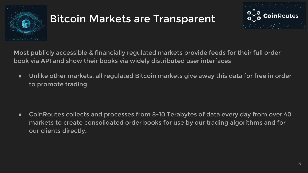

# Bitcoin Markets are Transparent



Most publicly accessible & financially regulated markets provide feeds for their full order book via API and show their books via widely distributed user interfaces

● Unlike other markets, all regulated Bitcoin markets give away this data for free in order to promote trading

● CoinRoutes collects and processes from 8-10 Terabytes of data every day from over 40 markets to create consolidated order books for use by our trading algorithms and for our clients directly.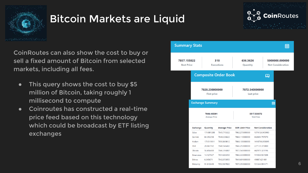

#### Bitcoin Markets are Liquid



CoinRoutes can also show the cost to buy or sell a fixed amount of Bitcoin from selected markets, including all fees.

- This query shows the cost to buy \$5 million of Bitcoin, taking roughly 1 millisecond to compute
- Coinroutes has constructed a real-time price feed based on this technology which could be broadcast by ETF listing exchanges

| <b>Summary Stats</b>             |                                      |                         |                      |                                     |                |                          | 藟                                          |  |
|----------------------------------|--------------------------------------|-------------------------|----------------------|-------------------------------------|----------------|--------------------------|--------------------------------------------|--|
| 7857.155822<br><b>Best Price</b> | 318<br><b>Executions</b>             |                         |                      | 636.3626<br>Quantity                |                |                          | 5000000.000000<br><b>Net Consideration</b> |  |
|                                  | <b>Composite Order Book</b>          |                         |                      |                                     |                | 吅                        |                                            |  |
|                                  | 7828.230000000<br><b>First price</b> |                         |                      | 7872.540000000<br><b>Last price</b> |                |                          |                                            |  |
|                                  |                                      | <b>Exchange Summary</b> |                      |                                     |                | 翩                        |                                            |  |
|                                  | 7848.485391<br><b>Average Price</b>  |                         |                      | 5517.538072<br><b>Total Fees</b>    |                |                          |                                            |  |
|                                  | <b>Exchange</b>                      | Quantity                | <b>Average Price</b> | <b>SOR Limit Price</b>              |                | <b>Net Consideration</b> |                                            |  |
|                                  | Gdax                                 | 174.881288              | 7845.715322          | 7862.270000000                      | 1374126.905980 |                          |                                            |  |
|                                  | Gemini                               | 84.353258               | 7848.336622          | 7866.110000000                      | 662694.797070  |                          |                                            |  |
|                                  | Kraken                               | 179.519811              | 7850.869812          | 7866.100000000                      | 1410796.055095 |                          |                                            |  |
|                                  | Itbit                                | 28.867782               | 7840.546402          | 7846.250000000                      | 227131.370800  |                          |                                            |  |
|                                  | Okcoin                               | 56.456400               | 7846.396887          | 7872.540000000                      | 442979.321196  |                          |                                            |  |
|                                  | <b>Binanceus</b>                     | 14.127927               | 7851.683350          | 7866.330000000                      | 111038.937208  |                          |                                            |  |
|                                  | <b>Bittrex</b>                       | 6.345671                | 7842.073055          | 7849.691000000                      | 49887.621481   |                          |                                            |  |
|                                  | <b>Bitstamp</b>                      | 91.810449               | 7852.967802          | 7870.350000000                      | 721344.991171  |                          |                                            |  |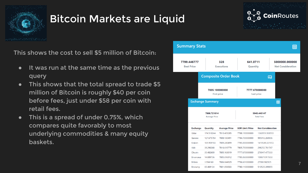

# Bitcoin Markets are Liquid



This shows the cost to sell \$5 million of Bitcoin:

- It was run at the same time as the previous query
- This shows that the total spread to trade \$5 million of Bitcoin is roughly \$40 per coin before fees, just under \$58 per coin with retail fees.
- This is a spread of under 0.75%, which compares quite favorably to most underlying commodities & many equity baskets.

| <b>Summary Stats</b>             |                                      |                         |                             |                                     |                          |                                            |  |
|----------------------------------|--------------------------------------|-------------------------|-----------------------------|-------------------------------------|--------------------------|--------------------------------------------|--|
| 7799.446777<br><b>Best Price</b> |                                      |                         | 328<br><b>Executions</b>    | 641.0711<br>Quantity                |                          | 5000000.000000<br><b>Net Consideration</b> |  |
|                                  |                                      |                         | <b>Composite Order Book</b> |                                     | ഥ                        |                                            |  |
|                                  | 7835.100000000<br><b>First price</b> |                         |                             | 7777.670000000<br><b>Last price</b> |                          |                                            |  |
|                                  |                                      | <b>Exchange Summary</b> |                             |                                     |                          | 畐                                          |  |
|                                  | 7808.721014<br><b>Average Price</b>  |                         |                             | 5945.445147<br><b>Total Fees</b>    |                          |                                            |  |
| <b>Exchange</b>                  |                                      | <b>Quantity</b>         | <b>Average Price</b>        | <b>SOR Limit Price</b>              | <b>Net Consideration</b> |                                            |  |
| Gdax                             |                                      | 174.510244              | 7810.409285                 | 7788.190000000                      | 1360951.938593           |                                            |  |
| Gemini                           |                                      | 127.675784              | 7808.130491                 | 7784.700000000                      | 995912.269906            |                                            |  |
| Kraken                           |                                      | 181.959183              | 7809.280499                 | 7785.000000000                      | 1419549.331972           |                                            |  |
| Itbit                            |                                      | 38.290268               | 7816.615779                 | 7805.750000000                      | 298252.761767            |                                            |  |
| Okcoin                           |                                      | 35.482600               | 7805.163019                 | 7777.670000000                      | 276947.477333            |                                            |  |
| <b>Binanceus</b>                 |                                      | 14.089736               | 7805.816912                 | 7785.060000000                      | 109871.917650            |                                            |  |
| <b>Bittrex</b>                   |                                      | 3.594160                | 7806.844929                 | 7796.601000000                      | 27988.902925             |                                            |  |
| <b>Bitstamp</b>                  |                                      | 65.469134               | 7801.856503                 | 7780.110000000                      | 510525.399855            |                                            |  |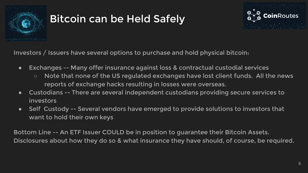

# Bitcoin can be Held Safely



Investors / Issuers have several options to purchase and hold physical bitcoin:

- Exchanges -- Many offer insurance against loss & contractual custodial services
	- Note that none of the US regulated exchanges have lost client funds. All the news reports of exchange hacks resulting in losses were overseas.
- Custodians -- There are several independent custodians providing secure services to investors
- Self Custody -- Several vendors have emerged to provide solutions to investors that want to hold their own keys

Bottom Line -- An ETF Issuer COULD be in position to guarantee their Bitcoin Assets. Disclosures about how they do so & what insurance they have should, of course, be required.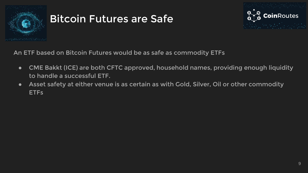

# Bitcoin Futures are Safe



An ETF based on Bitcoin Futures would be as safe as commodity ETFs

- CME Bakkt (ICE) are both CFTC approved, household names, providing enough liquidity to handle a successful ETF.
- Asset safety at either venue is as certain as with Gold, Silver, Oil or other commodity ETFs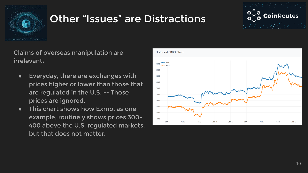

#### Other "Issues" are Distractions



Claims of overseas manipulation are irrelevant:

- Everyday, there are exchanges with prices higher or lower than those that are regulated in the U.S. -- Those prices are ignored.
- This chart shows how Exmo, as one example, routinely shows prices 300- 400 above the U.S. regulated markets, but that does not matter.

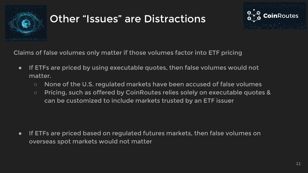

# Other "Issues" are Distractions



Claims of false volumes only matter if those volumes factor into ETF pricing

- If ETFs are priced by using executable quotes, then false volumes would not matter.
	- None of the U.S. regulated markets have been accused of false volumes
	- Pricing, such as offered by CoinRoutes relies solely on executable quotes & can be customized to include markets trusted by an ETF issuer

● If ETFs are priced based on regulated futures markets, then false volumes on overseas spot markets would not matter